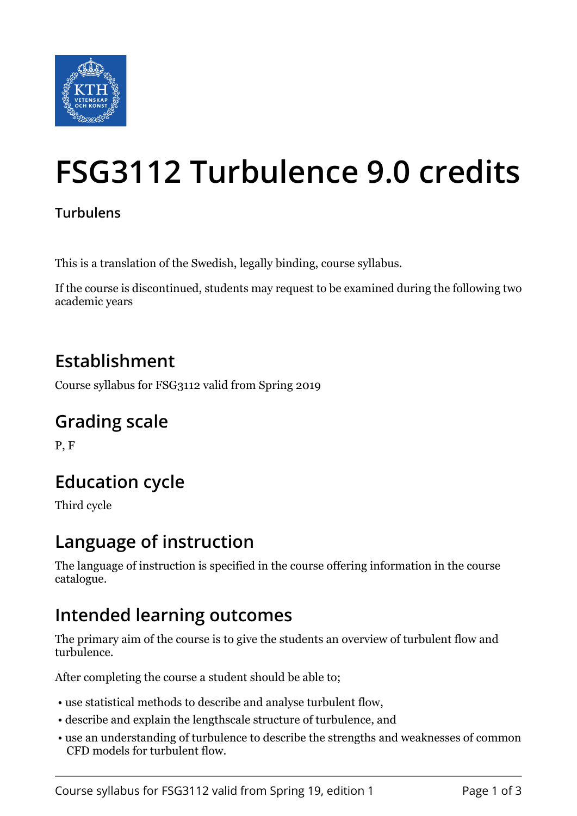

# **FSG3112 Turbulence 9.0 credits**

#### **Turbulens**

This is a translation of the Swedish, legally binding, course syllabus.

If the course is discontinued, students may request to be examined during the following two academic years

#### **Establishment**

Course syllabus for FSG3112 valid from Spring 2019

## **Grading scale**

P, F

## **Education cycle**

Third cycle

### **Language of instruction**

The language of instruction is specified in the course offering information in the course catalogue.

### **Intended learning outcomes**

The primary aim of the course is to give the students an overview of turbulent flow and turbulence.

After completing the course a student should be able to;

- use statistical methods to describe and analyse turbulent flow,
- describe and explain the lengthscale structure of turbulence, and
- use an understanding of turbulence to describe the strengths and weaknesses of common CFD models for turbulent flow.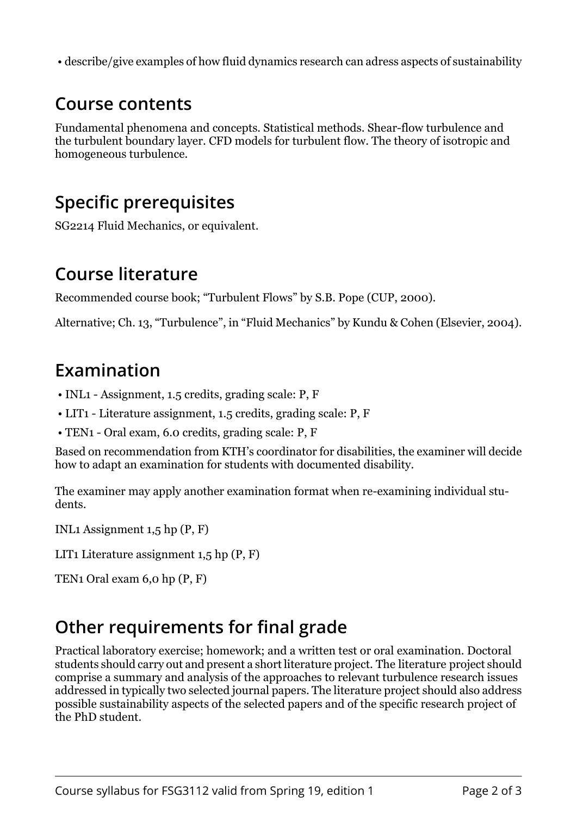• describe/give examples of how fluid dynamics research can adress aspects of sustainability

#### **Course contents**

Fundamental phenomena and concepts. Statistical methods. Shear-flow turbulence and the turbulent boundary layer. CFD models for turbulent flow. The theory of isotropic and homogeneous turbulence.

#### **Specific prerequisites**

SG2214 Fluid Mechanics, or equivalent.

#### **Course literature**

Recommended course book; "Turbulent Flows" by S.B. Pope (CUP, 2000).

Alternative; Ch. 13, "Turbulence", in "Fluid Mechanics" by Kundu & Cohen (Elsevier, 2004).

## **Examination**

- INL1 Assignment, 1.5 credits, grading scale: P, F
- LIT1 Literature assignment, 1.5 credits, grading scale: P, F
- TEN1 Oral exam, 6.0 credits, grading scale: P, F

Based on recommendation from KTH's coordinator for disabilities, the examiner will decide how to adapt an examination for students with documented disability.

The examiner may apply another examination format when re-examining individual students.

INL1 Assignment 1,5 hp (P, F)

LIT1 Literature assignment 1,5 hp (P, F)

TEN1 Oral exam 6,0 hp (P, F)

## **Other requirements for final grade**

Practical laboratory exercise; homework; and a written test or oral examination. Doctoral students should carry out and present a short literature project. The literature project should comprise a summary and analysis of the approaches to relevant turbulence research issues addressed in typically two selected journal papers. The literature project should also address possible sustainability aspects of the selected papers and of the specific research project of the PhD student.